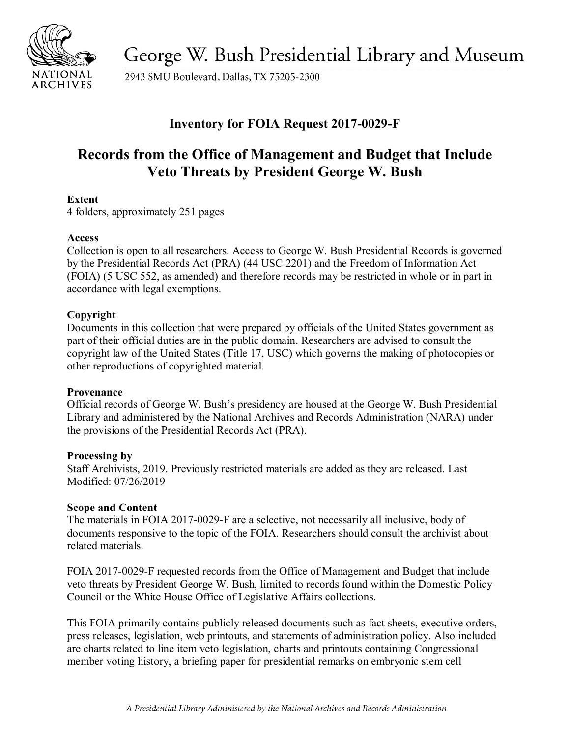

George W. Bush Presidential Library and Museum

2943 SMU Boulevard, Dallas, TX 75205-2300

# **Inventory for FOIA Request 2017-0029-F**

# **Records from the Office of Management and Budget that Include Veto Threats by President George W. Bush**

## **Extent**

4 folders, approximately 251 pages

## **Access**

 Collection is open to all researchers. Access to George W. Bush Presidential Records is governed by the Presidential Records Act (PRA) (44 USC 2201) and the Freedom of Information Act (FOIA) (5 USC 552, as amended) and therefore records may be restricted in whole or in part in accordance with legal exemptions.

# **Copyright**

Documents in this collection that were prepared by officials of the United States government as part of their official duties are in the public domain. Researchers are advised to consult the copyright law of the United States (Title 17, USC) which governs the making of photocopies or other reproductions of copyrighted material.

## **Provenance**

Official records of George W. Bush's presidency are housed at the George W. Bush Presidential Library and administered by the National Archives and Records Administration (NARA) under the provisions of the Presidential Records Act (PRA).

## **Processing by**

Staff Archivists, 2019. Previously restricted materials are added as they are released. Last Modified: 07/26/2019

## **Scope and Content**

The materials in FOIA 2017-0029-F are a selective, not necessarily all inclusive, body of documents responsive to the topic of the FOIA. Researchers should consult the archivist about related materials.

 FOIA 2017-0029-F requested records from the Office of Management and Budget that include Council or the White House Office of Legislative Affairs collections. veto threats by President George W. Bush, limited to records found within the Domestic Policy

 press releases, legislation, web printouts, and statements of administration policy. Also included This FOIA primarily contains publicly released documents such as fact sheets, executive orders, are charts related to line item veto legislation, charts and printouts containing Congressional member voting history, a briefing paper for presidential remarks on embryonic stem cell